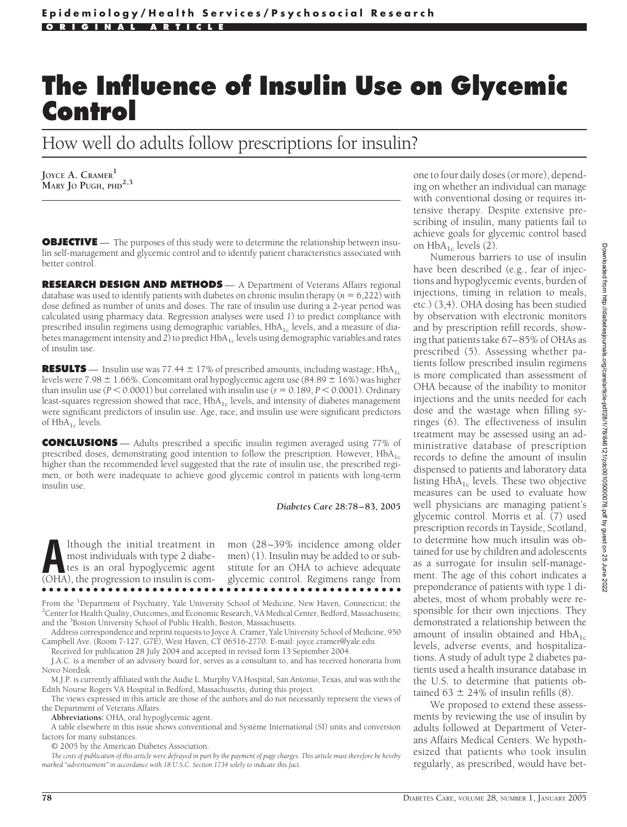## **The Influence of Insulin Use on Glycemic Control**

How well do adults follow prescriptions for insulin?

**JOYCE A. CRAMER<sup>1</sup> MARY JO PUGH, PHD2,3**

**OBJECTIVE** — The purposes of this study were to determine the relationship between insulin self-management and glycemic control and to identify patient characteristics associated with better control.

**RESEARCH DESIGN AND METHODS** — A Department of Veterans Affairs regional database was used to identify patients with diabetes on chronic insulin therapy ( $n = 6,222$ ) with dose defined as number of units and doses. The rate of insulin use during a 2-year period was calculated using pharmacy data. Regression analyses were used *1*) to predict compliance with prescribed insulin regimens using demographic variables,  $HbA<sub>1c</sub>$  levels, and a measure of diabetes management intensity and 2) to predict HbA<sub>1c</sub> levels using demographic variables and rates of insulin use.

**RESULTS** — Insulin use was 77.44  $\pm$  17% of prescribed amounts, including wastage; HbA<sub>1c</sub> levels were 7.98  $\pm$  1.66%. Concomitant oral hypoglycemic agent use (84.89  $\pm$  16%) was higher than insulin use ( $P < 0.0001$ ) but correlated with insulin use ( $r = 0.189$ ,  $P < 0.0001$ ). Ordinary least-squares regression showed that race,  $HbA_{1c}$  levels, and intensity of diabetes management were significant predictors of insulin use. Age, race, and insulin use were significant predictors of  $HbA_{1c}$  levels.

**CONCLUSIONS** — Adults prescribed a specific insulin regimen averaged using 77% of prescribed doses, demonstrating good intention to follow the prescription. However,  $HbA_{1c}$ higher than the recommended level suggested that the rate of insulin use, the prescribed regimen, or both were inadequate to achieve good glycemic control in patients with long-term insulin use.

## *Diabetes Care* **28:78 – 83, 2005**

**A**lthough the initial treatment in most individuals with type 2 diabetes is an oral hypoglycemic agent (OHA) the progression to insulin is commost individuals with type 2 diabetes is an oral hypoglycemic agent (OHA), the progression to insulin is com-

mon (28–39% incidence among older men) (1). Insulin may be added to or substitute for an OHA to achieve adequate glycemic control. Regimens range from ●●●●●●●●●●●●●●●●●●●●●●●●●●●●●●●●●●●●●●●●●●●●●●●●●

From the <sup>1</sup>Department of Psychiatry, Yale University School of Medicine, New Haven, Connecticut; the 2Center for Health Quality Quicomes, and Economic Research VA Medical Center Bedford Massachusetts: <sup>2</sup> Center for Health Quality, Outcomes, and Economic Research, VA Medical Center, Bedford, Massachusetts; and the <sup>3</sup>Boston University School of Public Health, Boston, Massachusetts.

Address correspondence and reprint requests to Joyce A. Cramer, Yale University School of Medicine, 950 Campbell Ave. (Room 7-127, G7E), West Haven, CT 06516-2770. E-mail: joyce.cramer@yale.edu. Received for publication 28 July 2004 and accepted in revised form 13 September 2004.

J.A.C. is a member of an advisory board for, serves as a consultant to, and has received honoraria from Novo Nordisk.

M.J.P. is currently affiliated with the Audie L. Murphy VA Hospital, San Antonio, Texas, and was with the Edith Nourse Rogers VA Hospital in Bedford, Massachusetts, during this project.

The views expressed in this article are those of the authors and do not necessarily represent the views of the Department of Veterans Affairs.

**Abbreviations:** OHA, oral hypoglycemic agent.

A table elsewhere in this issue shows conventional and Système International (SI) units and conversion factors for many substances.

© 2005 by the American Diabetes Association.

*The costs of publication of this article were defrayed in part by the payment of page charges. This article must therefore be hereby marked "advertisement" in accordance with 18 U.S.C. Section 1734 solely to indicate this fact.*

one to four daily doses (or more), depending on whether an individual can manage with conventional dosing or requires intensive therapy. Despite extensive prescribing of insulin, many patients fail to achieve goals for glycemic control based on  $HbA_{1c}$  levels (2).

Numerous barriers to use of insulin have been described (e.g., fear of injections and hypoglycemic events, burden of injections, timing in relation to meals, etc.) (3,4). OHA dosing has been studied by observation with electronic monitors and by prescription refill records, showing that patients take 67–85% of OHAs as prescribed (5). Assessing whether patients follow prescribed insulin regimens is more complicated than assessment of OHA because of the inability to monitor injections and the units needed for each dose and the wastage when filling syringes (6). The effectiveness of insulin treatment may be assessed using an administrative database of prescription records to define the amount of insulin dispensed to patients and laboratory data listing  $HbA_{1c}$  levels. These two objective measures can be used to evaluate how well physicians are managing patient's glycemic control. Morris et al. (7) used prescription records in Tayside, Scotland, to determine how much insulin was obtained for use by children and adolescents as a surrogate for insulin self-management. The age of this cohort indicates a preponderance of patients with type 1 diabetes, most of whom probably were responsible for their own injections. They demonstrated a relationship between the amount of insulin obtained and  $HbA_{1c}$ levels, adverse events, and hospitalizations. A study of adult type 2 diabetes patients used a health insurance database in the U.S. to determine that patients obtained  $63 \pm 24\%$  of insulin refills (8).

We proposed to extend these assessments by reviewing the use of insulin by adults followed at Department of Veterans Affairs Medical Centers. We hypothesized that patients who took insulin regularly, as prescribed, would have bet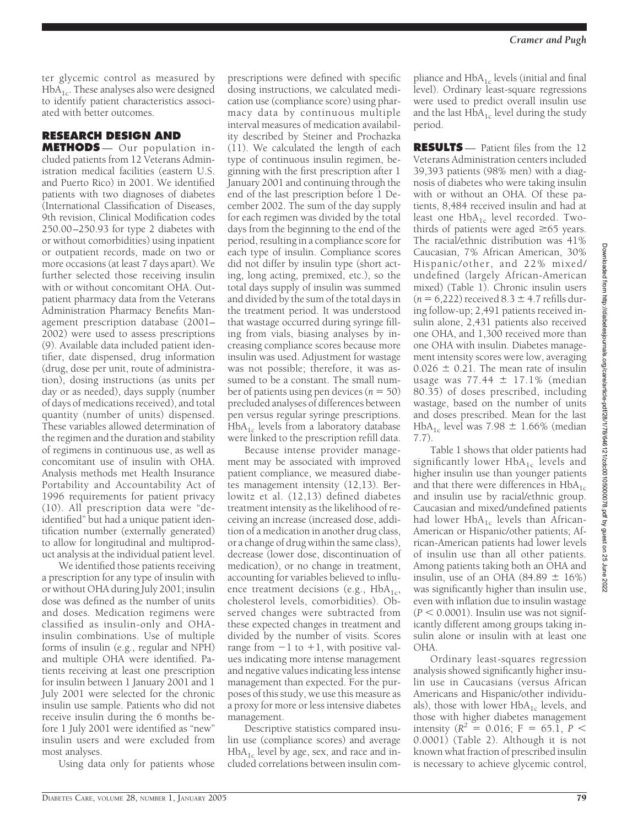ter glycemic control as measured by  $HbA<sub>1c</sub>$ . These analyses also were designed to identify patient characteristics associated with better outcomes.

## **RESEARCH DESIGN AND**

**METHODS** — Our population included patients from 12 Veterans Administration medical facilities (eastern U.S. and Puerto Rico) in 2001. We identified patients with two diagnoses of diabetes (International Classification of Diseases, 9th revision, Clinical Modification codes 250.00–250.93 for type 2 diabetes with or without comorbidities) using inpatient or outpatient records, made on two or more occasions (at least 7 days apart). We further selected those receiving insulin with or without concomitant OHA. Outpatient pharmacy data from the Veterans Administration Pharmacy Benefits Management prescription database (2001– 2002) were used to assess prescriptions (9). Available data included patient identifier, date dispensed, drug information (drug, dose per unit, route of administration), dosing instructions (as units per day or as needed), days supply (number of days of medications received), and total quantity (number of units) dispensed. These variables allowed determination of the regimen and the duration and stability of regimens in continuous use, as well as concomitant use of insulin with OHA. Analysis methods met Health Insurance Portability and Accountability Act of 1996 requirements for patient privacy (10). All prescription data were "deidentified" but had a unique patient identification number (externally generated) to allow for longitudinal and multiproduct analysis at the individual patient level.

We identified those patients receiving a prescription for any type of insulin with or without OHA during July 2001; insulin dose was defined as the number of units and doses. Medication regimens were classified as insulin-only and OHAinsulin combinations. Use of multiple forms of insulin (e.g., regular and NPH) and multiple OHA were identified. Patients receiving at least one prescription for insulin between 1 January 2001 and 1 July 2001 were selected for the chronic insulin use sample. Patients who did not receive insulin during the 6 months before 1 July 2001 were identified as "new" insulin users and were excluded from most analyses.

Using data only for patients whose

prescriptions were defined with specific dosing instructions, we calculated medication use (compliance score) using pharmacy data by continuous multiple interval measures of medication availability described by Steiner and Prochazka (11). We calculated the length of each type of continuous insulin regimen, beginning with the first prescription after 1 January 2001 and continuing through the end of the last prescription before 1 December 2002. The sum of the day supply for each regimen was divided by the total days from the beginning to the end of the period, resulting in a compliance score for each type of insulin. Compliance scores did not differ by insulin type (short acting, long acting, premixed, etc.), so the total days supply of insulin was summed and divided by the sum of the total days in the treatment period. It was understood that wastage occurred during syringe filling from vials, biasing analyses by increasing compliance scores because more insulin was used. Adjustment for wastage was not possible; therefore, it was assumed to be a constant. The small number of patients using pen devices  $(n = 50)$ precluded analyses of differences between pen versus regular syringe prescriptions.  $HbA_{1c}$  levels from a laboratory database were linked to the prescription refill data.

Because intense provider management may be associated with improved patient compliance, we measured diabetes management intensity (12,13). Berlowitz et al. (12,13) defined diabetes treatment intensity as the likelihood of receiving an increase (increased dose, addition of a medication in another drug class, or a change of drug within the same class), decrease (lower dose, discontinuation of medication), or no change in treatment, accounting for variables believed to influence treatment decisions (e.g.,  $HbA_{1c}$ , cholesterol levels, comorbidities). Observed changes were subtracted from these expected changes in treatment and divided by the number of visits. Scores range from  $-1$  to  $+1$ , with positive values indicating more intense management and negative values indicating less intense management than expected. For the purposes of this study, we use this measure as a proxy for more or less intensive diabetes management.

Descriptive statistics compared insulin use (compliance scores) and average  $HbA_{1c}$  level by age, sex, and race and included correlations between insulin com**RESULTS** — Patient files from the 12 Veterans Administration centers included 39,393 patients (98% men) with a diagnosis of diabetes who were taking insulin with or without an OHA. Of these patients, 8,484 received insulin and had at least one  $HbA_{1c}$  level recorded. Twothirds of patients were aged  $\geq 65$  years. The racial/ethnic distribution was 41% Caucasian, 7% African American, 30% Hispanic/other, and 22% mixed/ undefined (largely African-American mixed) (Table 1). Chronic insulin users  $(n = 6,222)$  received  $8.3 \pm 4.7$  refills during follow-up; 2,491 patients received insulin alone, 2,431 patients also received one OHA, and 1,300 received more than one OHA with insulin. Diabetes management intensity scores were low, averaging  $0.026 \pm 0.21$ . The mean rate of insulin usage was  $77.44 \pm 17.1\%$  (median 80.35) of doses prescribed, including wastage, based on the number of units and doses prescribed. Mean for the last  $HbA_{1c}$  level was 7.98  $\pm$  1.66% (median 7.7).

Table 1 shows that older patients had significantly lower HbA<sub>1c</sub> levels and higher insulin use than younger patients and that there were differences in  $HbA_{1c}$ and insulin use by racial/ethnic group. Caucasian and mixed/undefined patients had lower  $HbA_{1c}$  levels than African-American or Hispanic/other patients; African-American patients had lower levels of insulin use than all other patients. Among patients taking both an OHA and insulin, use of an OHA  $(84.89 \pm 16\%)$ was significantly higher than insulin use, even with inflation due to insulin wastage  $(P < 0.0001)$ . Insulin use was not significantly different among groups taking insulin alone or insulin with at least one OHA.

Ordinary least-squares regression analysis showed significantly higher insulin use in Caucasians (versus African Americans and Hispanic/other individuals), those with lower  $HbA_{1c}$  levels, and those with higher diabetes management intensity ( $R^2 = 0.016$ ; F = 65.1, P < 0.0001) (Table 2). Although it is not known what fraction of prescribed insulin is necessary to achieve glycemic control,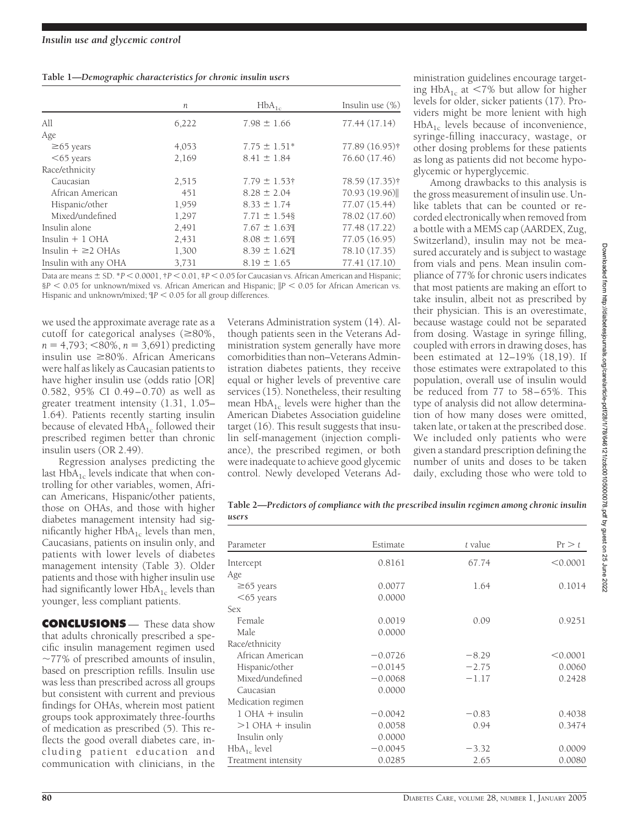|  | Table 1-Demographic characteristics for chronic insulin users |  |  |
|--|---------------------------------------------------------------|--|--|
|  |                                                               |  |  |

|                         | n     | $HbA_{1c}$        | Insulin use $(\%)$ |
|-------------------------|-------|-------------------|--------------------|
| All                     | 6,222 | $7.98 \pm 1.66$   | 77.44 (17.14)      |
| Age                     |       |                   |                    |
| $\geq 65$ years         | 4,053 | $7.75 \pm 1.51*$  | 77.89 (16.95)†     |
| $<65$ years             | 2,169 | $8.41 \pm 1.84$   | 76.60 (17.46)      |
| Race/ethnicity          |       |                   |                    |
| Caucasian               | 2,515 | $7.79 \pm 1.53$ † | 78.59 (17.35)†     |
| African American        | 451   | $8.28 \pm 2.04$   | 70.93 (19.96)      |
| Hispanic/other          | 1,959 | $8.33 \pm 1.74$   | 77.07 (15.44)      |
| Mixed/undefined         | 1,297 | $7.71 \pm 1.548$  | 78.02 (17.60)      |
| Insulin alone           | 2,491 | $7.67 \pm 1.639$  | 77.48 (17.22)      |
| Insulin $+1$ OHA        | 2,431 | $8.08 \pm 1.659$  | 77.05 (16.95)      |
| Insulin $+ \geq 2$ OHAs | 1,300 | $8.39 \pm 1.629$  | 78.10 (17.35)      |
| Insulin with any OHA    | 3,731 | $8.19 \pm 1.65$   | 77.41 (17.10)      |

Data are means  $\pm$  SD. \**P* < 0.0001, †*P* < 0.01, ‡*P* < 0.05 for Caucasian vs. African American and Hispanic; §*P* 0.05 for unknown/mixed vs. African American and Hispanic; -*P* 0.05 for African American vs. Hispanic and unknown/mixed;  $IP < 0.05$  for all group differences.

*users*

we used the approximate average rate as a cutoff for categorical analyses  $(280\%,$  $n = 4,793$ ;  $\leq 80\%$ ,  $n = 3,691$ ) predicting insulin use  $\geq 80\%$ . African Americans were half as likely as Caucasian patients to have higher insulin use (odds ratio [OR] 0.582, 95% CI 0.49–0.70) as well as greater treatment intensity (1.31, 1.05– 1.64). Patients recently starting insulin because of elevated  $HbA_{1c}$  followed their prescribed regimen better than chronic insulin users (OR 2.49).

Regression analyses predicting the last  $HbA_{1c}$  levels indicate that when controlling for other variables, women, African Americans, Hispanic/other patients, those on OHAs, and those with higher diabetes management intensity had significantly higher  $HbA_{1c}$  levels than men, Caucasians, patients on insulin only, and patients with lower levels of diabetes management intensity (Table 3). Older patients and those with higher insulin use had significantly lower  $HbA_{1c}$  levels than younger, less compliant patients.

**CONCLUSIONS** — These data show that adults chronically prescribed a specific insulin management regimen used  $\sim$ 77% of prescribed amounts of insulin, based on prescription refills. Insulin use was less than prescribed across all groups but consistent with current and previous findings for OHAs, wherein most patient groups took approximately three-fourths of medication as prescribed (5). This reflects the good overall diabetes care, including patient education and communication with clinicians, in the

Veterans Administration system (14). Although patients seen in the Veterans Administration system generally have more comorbidities than non–Veterans Administration diabetes patients, they receive equal or higher levels of preventive care services (15). Nonetheless, their resulting mean  $HbA_{1c}$  levels were higher than the American Diabetes Association guideline target (16). This result suggests that insulin self-management (injection compliance), the prescribed regimen, or both were inadequate to achieve good glycemic control. Newly developed Veterans Ad-

ministration guidelines encourage targeting HbA<sub>1c</sub> at <7% but allow for higher levels for older, sicker patients (17). Providers might be more lenient with high  $HbA_{1c}$  levels because of inconvenience, syringe-filling inaccuracy, wastage, or other dosing problems for these patients as long as patients did not become hypoglycemic or hyperglycemic.

Among drawbacks to this analysis is the gross measurement of insulin use. Unlike tablets that can be counted or recorded electronically when removed from a bottle with a MEMS cap (AARDEX, Zug, Switzerland), insulin may not be measured accurately and is subject to wastage from vials and pens. Mean insulin compliance of 77% for chronic users indicates that most patients are making an effort to take insulin, albeit not as prescribed by their physician. This is an overestimate, because wastage could not be separated from dosing. Wastage in syringe filling, coupled with errors in drawing doses, has been estimated at 12–19% (18,19). If those estimates were extrapolated to this population, overall use of insulin would be reduced from 77 to 58–65%. This type of analysis did not allow determination of how many doses were omitted, taken late, or taken at the prescribed dose. We included only patients who were given a standard prescription defining the number of units and doses to be taken daily, excluding those who were told to

**Table 2—***Predictors of compliance with the prescribed insulin regimen among chronic insulin*

| Parameter           | Estimate  | t value | Pr > t   |
|---------------------|-----------|---------|----------|
| Intercept           | 0.8161    | 67.74   | < 0.0001 |
| Age                 |           |         |          |
| $\geq 65$ years     | 0.0077    | 1.64    | 0.1014   |
| $<$ 65 years        | 0.0000    |         |          |
| <b>Sex</b>          |           |         |          |
| Female              | 0.0019    | 0.09    | 0.9251   |
| Male                | 0.0000    |         |          |
| Race/ethnicity      |           |         |          |
| African American    | $-0.0726$ | $-8.29$ | < 0.0001 |
| Hispanic/other      | $-0.0145$ | $-2.75$ | 0.0060   |
| Mixed/undefined     | $-0.0068$ | $-1.17$ | 0.2428   |
| Caucasian           | 0.0000    |         |          |
| Medication regimen  |           |         |          |
| $1$ OHA $+$ insulin | $-0.0042$ | $-0.83$ | 0.4038   |
| $>1$ OHA + insulin  | 0.0058    | 0.94    | 0.3474   |
| Insulin only        | 0.0000    |         |          |
| $HbA_{1c}$ level    | $-0.0045$ | $-3.32$ | 0.0009   |
| Treatment intensity | 0.0285    | 2.65    | 0.0080   |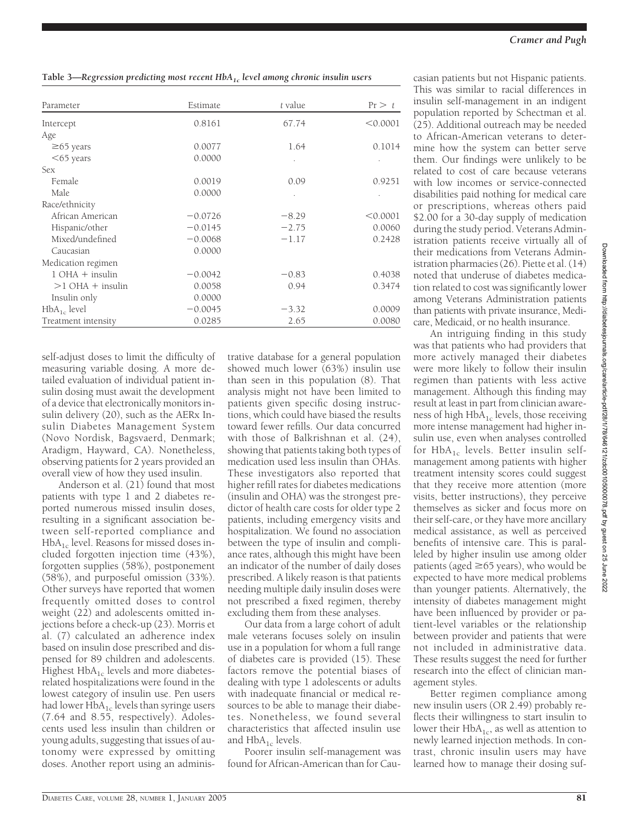**Table 3—***Regression predicting most recent HbA1c level among chronic insulin users*

| Parameter           | Estimate  | t value | Pr > t   |
|---------------------|-----------|---------|----------|
| Intercept           | 0.8161    | 67.74   | < 0.0001 |
| Age                 |           |         |          |
| $\geq 65$ years     | 0.0077    | 1.64    | 0.1014   |
| $<$ 65 years        | 0.0000    |         |          |
| <b>Sex</b>          |           |         |          |
| Female              | 0.0019    | 0.09    | 0.9251   |
| Male                | 0.0000    |         |          |
| Race/ethnicity      |           |         |          |
| African American    | $-0.0726$ | $-8.29$ | < 0.0001 |
| Hispanic/other      | $-0.0145$ | $-2.75$ | 0.0060   |
| Mixed/undefined     | $-0.0068$ | $-1.17$ | 0.2428   |
| Caucasian           | 0.0000    |         |          |
| Medication regimen  |           |         |          |
| $1$ OHA $+$ insulin | $-0.0042$ | $-0.83$ | 0.4038   |
| $>1$ OHA + insulin  | 0.0058    | 0.94    | 0.3474   |
| Insulin only        | 0.0000    |         |          |
| $HbA_{1c}$ level    | $-0.0045$ | $-3.32$ | 0.0009   |
| Treatment intensity | 0.0285    | 2.65    | 0.0080   |

self-adjust doses to limit the difficulty of measuring variable dosing. A more detailed evaluation of individual patient insulin dosing must await the development of a device that electronically monitors insulin delivery (20), such as the AERx Insulin Diabetes Management System (Novo Nordisk, Bagsvaerd, Denmark; Aradigm, Hayward, CA). Nonetheless, observing patients for 2 years provided an overall view of how they used insulin.

Anderson et al. (21) found that most patients with type 1 and 2 diabetes reported numerous missed insulin doses, resulting in a significant association between self-reported compliance and  $HbA_{1c}$  level. Reasons for missed doses included forgotten injection time (43%), forgotten supplies (58%), postponement (58%), and purposeful omission (33%). Other surveys have reported that women frequently omitted doses to control weight (22) and adolescents omitted injections before a check-up (23). Morris et al. (7) calculated an adherence index based on insulin dose prescribed and dispensed for 89 children and adolescents. Highest  $HbA_{1c}$  levels and more diabetesrelated hospitalizations were found in the lowest category of insulin use. Pen users had lower  $HbA_{1c}$  levels than syringe users (7.64 and 8.55, respectively). Adolescents used less insulin than children or young adults, suggesting that issues of autonomy were expressed by omitting doses. Another report using an administrative database for a general population showed much lower (63%) insulin use than seen in this population (8). That analysis might not have been limited to patients given specific dosing instructions, which could have biased the results toward fewer refills. Our data concurred with those of Balkrishnan et al. (24), showing that patients taking both types of medication used less insulin than OHAs. These investigators also reported that higher refill rates for diabetes medications (insulin and OHA) was the strongest predictor of health care costs for older type 2 patients, including emergency visits and hospitalization. We found no association between the type of insulin and compliance rates, although this might have been an indicator of the number of daily doses prescribed. A likely reason is that patients needing multiple daily insulin doses were not prescribed a fixed regimen, thereby excluding them from these analyses.

Our data from a large cohort of adult male veterans focuses solely on insulin use in a population for whom a full range of diabetes care is provided (15). These factors remove the potential biases of dealing with type 1 adolescents or adults with inadequate financial or medical resources to be able to manage their diabetes. Nonetheless, we found several characteristics that affected insulin use and  $HbA_{1c}$  levels.

Poorer insulin self-management was found for African-American than for Cau-

casian patients but not Hispanic patients. This was similar to racial differences in insulin self-management in an indigent population reported by Schectman et al. (25). Additional outreach may be needed to African-American veterans to determine how the system can better serve them. Our findings were unlikely to be related to cost of care because veterans with low incomes or service-connected disabilities paid nothing for medical care or prescriptions, whereas others paid \$2.00 for a 30-day supply of medication during the study period. Veterans Administration patients receive virtually all of their medications from Veterans Administration pharmacies (26). Piette et al. (14) noted that underuse of diabetes medication related to cost was significantly lower among Veterans Administration patients than patients with private insurance, Medicare, Medicaid, or no health insurance.

An intriguing finding in this study was that patients who had providers that more actively managed their diabetes were more likely to follow their insulin regimen than patients with less active management. Although this finding may result at least in part from clinician awareness of high  $HbA_{1c}$  levels, those receiving more intense management had higher insulin use, even when analyses controlled for  $HbA_{1c}$  levels. Better insulin selfmanagement among patients with higher treatment intensity scores could suggest that they receive more attention (more visits, better instructions), they perceive themselves as sicker and focus more on their self-care, or they have more ancillary medical assistance, as well as perceived benefits of intensive care. This is paralleled by higher insulin use among older patients (aged  $\geq$  65 years), who would be expected to have more medical problems than younger patients. Alternatively, the intensity of diabetes management might have been influenced by provider or patient-level variables or the relationship between provider and patients that were not included in administrative data. These results suggest the need for further research into the effect of clinician management styles.

Better regimen compliance among new insulin users (OR 2.49) probably reflects their willingness to start insulin to lower their  $HbA_{1c}$ , as well as attention to newly learned injection methods. In contrast, chronic insulin users may have learned how to manage their dosing suf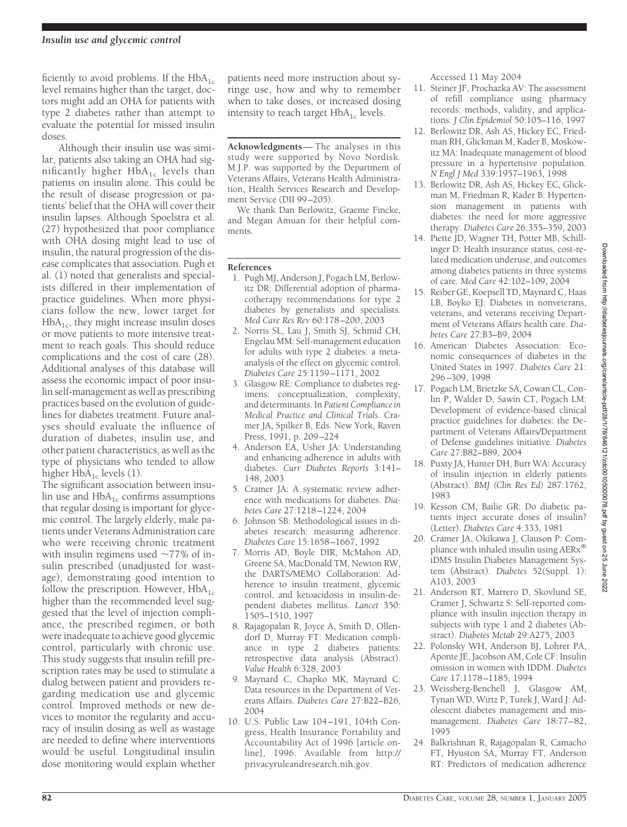ficiently to avoid problems. If the  $HbA_{1c}$ level remains higher than the target, doctors might add an OHA for patients with type 2 diabetes rather than attempt to evaluate the potential for missed insulin doses.

Although their insulin use was similar, patients also taking an OHA had significantly higher  $HbA_{1c}$  levels than patients on insulin alone. This could be the result of disease progression or patients' belief that the OHA will cover their insulin lapses. Although Spoelstra et al. (27) hypothesized that poor compliance with OHA dosing might lead to use of insulin, the natural progression of the disease complicates that association. Pugh et al. (1) noted that generalists and specialists differed in their implementation of practice guidelines. When more physicians follow the new, lower target for  $HbA<sub>1c</sub>$ , they might increase insulin doses or move patients to more intensive treatment to reach goals. This should reduce complications and the cost of care (28). Additional analyses of this database will assess the economic impact of poor insulin self-management as well as prescribing practices based on the evolution of guidelines for diabetes treatment. Future analyses should evaluate the influence of duration of diabetes, insulin use, and other patient characteristics, as well as the type of physicians who tended to allow higher  $HbA_{1c}$  levels (1).

The significant association between insulin use and  $HbA_{1c}$  confirms assumptions that regular dosing is important for glycemic control. The largely elderly, male patients under Veterans Administration care who were receiving chronic treatment with insulin regimens used  $\sim$ 77% of insulin prescribed (unadjusted for wastage), demonstrating good intention to follow the prescription. However,  $HbA_{1c}$ higher than the recommended level suggested that the level of injection compliance, the prescribed regimen, or both were inadequate to achieve good glycemic control, particularly with chronic use. This study suggests that insulin refill prescription rates may be used to stimulate a dialog between patient and providers regarding medication use and glycemic control. Improved methods or new devices to monitor the regularity and accuracy of insulin dosing as well as wastage are needed to define where interventions would be useful. Longitudinal insulin dose monitoring would explain whether

patients need more instruction about syringe use, how and why to remember when to take doses, or increased dosing intensity to reach target  $HbA_{1c}$  levels.

**Acknowledgments**— The analyses in this study were supported by Novo Nordisk. M.J.P. was supported by the Department of Veterans Affairs, Veterans Health Administration, Health Services Research and Development Service (DII 99–205).

We thank Dan Berlowitz, Graeme Fincke, and Megan Amuan for their helpful comments.

## **References**

- 1. Pugh MJ, Anderson J, Pogach LM, Berlowitz DR: Differential adoption of pharmacotherapy recommendations for type 2 diabetes by generalists and specialists. *Med Care Res Rev* 60:178–200, 2003
- 2. Norris SL, Lau J, Smith SJ, Schmid CH, Engelau MM: Self-management education for adults with type 2 diabetes: a metaanalysis of the effect on glycemic control. *Diabetes Care* 25:1159–1171, 2002
- 3. Glasgow RE: Compliance to diabetes regimens: conceptualization, complexity, and determinants. In *Patient Compliance in Medical Practice and Clinical Trials.* Cramer JA, Spilker B, Eds. New York, Raven Press, 1991, p. 209–224
- 4. Anderson EA, Usher JA: Understanding and enhancing adherence in adults with diabetes. *Curr Diabetes Reports* 3:141– 148, 2003
- 5. Cramer JA: A systematic review adherence with medications for diabetes. *Diabetes Care* 27:1218–1224, 2004
- 6. Johnson SB: Methodological issues in diabetes research: measuring adherence. *Diabetes Care* 15:1658–1667, 1992
- 7. Morris AD, Boyle DIR, McMahon AD, Greene SA, MacDonald TM, Newton RW, the DARTS/MEMO Collaboration: Adherence to insulin treatment, glycemic control, and ketoacidosis in insulin-dependent diabetes mellitus. *Lancet* 350: 1505–1510, 1997
- 8. Rajagopalan R, Joyce A, Smith D, Ollendorf D, Murray FT: Medication compliance in type 2 diabetes patients: retrospective data analysis (Abstract). *Value Health* 6:328, 2003
- 9. Maynard C, Chapko MK, Maynard C: Data resources in the Department of Veterans Affairs. *Diabetes Care* 27:B22–B26, 2004
- 10. U.S. Public Law 104 –191, 104th Congress, Health Insurance Portability and Accountability Act of 1996 [article online], 1996. Available from http:// privacyruleandresearch.nih.gov.

Accessed 11 May 2004

- 11. Steiner JF, Prochazka AV: The assessment of refill compliance using pharmacy records: methods, validity, and applications. *J Clin Epidemiol* 50:105–116, 1997
- 12. Berlowitz DR, Ash AS, Hickey EC, Friedman RH, Glickman M, Kader B, Moskowitz MA: Inadequate management of blood pressure in a hypertensive population. *N Engl J Med* 339:1957–1963, 1998
- 13. Berlowitz DR, Ash AS, Hickey EC, Glickman M, Friedman R, Kader B: Hypertension management in patients with diabetes: the need for more aggressive therapy. *Diabetes Care* 26:355–359, 2003
- 14. Piette JD, Wagner TH, Potter MB, Schillinger D: Health insurance status, cost-related medication underuse, and outcomes among diabetes patients in three systems of care. *Med Care* 42:102–109, 2004
- 15. Reiber GE, Koepsell TD, Maynard C, Haas LB, Boyko EJ: Diabetes in nonveterans, veterans, and veterans receiving Department of Veterans Affairs health care. *Diabetes Care* 27:B3–B9, 2004
- 16. American Diabetes Association: Economic consequences of diabetes in the United States in 1997. *Diabetes Care* 21: 296–309, 1998
- 17. Pogach LM, Brietzke SA, Cowan CL, Conlin P, Walder D, Sawin CT, Pogach LM: Development of evidence-based clinical practice guidelines for diabetes: the Department of Veterans Affairs/Department of Defense guidelines initiative. *Diabetes Care* 27:B82–B89, 2004
- 18. Puxty JA, Hunter DH, Burr WA: Accuracy of insulin injection in elderly patients (Abstract). *BMJ (Clin Res Ed)* 287:1762, 1983
- 19. Kesson CM, Bailie GR: Do diabetic patients inject accurate doses of insulin? (Letter). *Diabetes Care* 4:333, 1981
- 20. Cramer JA, Okikawa J, Clauson P: Compliance with inhaled insulin using AERx® iDMS Insulin Diabetes Management System (Abstract). *Diabetes* 52(Suppl. 1): A103, 2003
- 21. Anderson RT, Marrero D, Skovlund SE, Cramer J, Schwartz S: Self-reported compliance with insulin injection therapy in subjects with type 1 and 2 diabetes (Abstract). *Diabetes Metab* 29:A275, 2003
- 22. Polonsky WH, Anderson BJ, Lohrer PA, Aponte JE, Jacobson AM, Cole CF: Insulin omission in women with IDDM. *Diabetes Care* 17:1178–1185, 1994
- 23. Weissberg-Benchell J, Glasgow AM, Tynan WD, Wirtz P, Turek J, Ward J: Adolescent diabetes management and mismanagement. *Diabetes Care* 18:77–82, 1995
- 24. Balkrishnan R, Rajagopalan R, Camacho FT, Hyuston SA, Murray FT, Anderson RT: Predictors of medication adherence